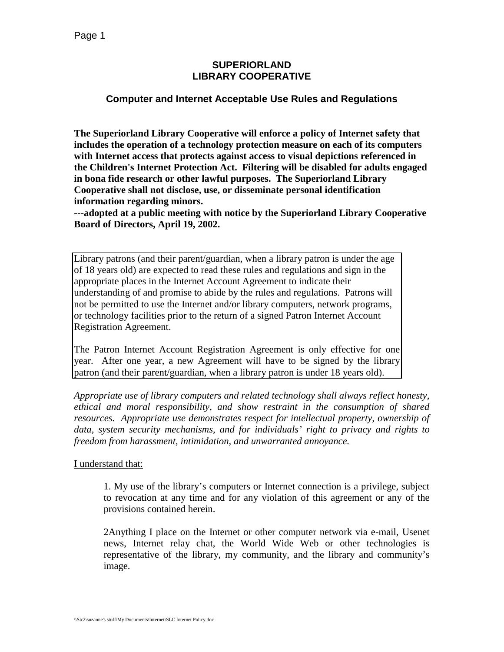### **SUPERIORLAND LIBRARY COOPERATIVE**

# **Computer and Internet Acceptable Use Rules and Regulations**

**The Superiorland Library Cooperative will enforce a policy of Internet safety that includes the operation of a technology protection measure on each of its computers with Internet access that protects against access to visual depictions referenced in the Children's Internet Protection Act. Filtering will be disabled for adults engaged in bona fide research or other lawful purposes. The Superiorland Library Cooperative shall not disclose, use, or disseminate personal identification information regarding minors.** 

**---adopted at a public meeting with notice by the Superiorland Library Cooperative Board of Directors, April 19, 2002.** 

Library patrons (and their parent/guardian, when a library patron is under the age of 18 years old) are expected to read these rules and regulations and sign in the appropriate places in the Internet Account Agreement to indicate their understanding of and promise to abide by the rules and regulations. Patrons will not be permitted to use the Internet and/or library computers, network programs, or technology facilities prior to the return of a signed Patron Internet Account Registration Agreement.

The Patron Internet Account Registration Agreement is only effective for one year. After one year, a new Agreement will have to be signed by the library patron (and their parent/guardian, when a library patron is under 18 years old).

*Appropriate use of library computers and related technology shall always reflect honesty, ethical and moral responsibility, and show restraint in the consumption of shared resources. Appropriate use demonstrates respect for intellectual property, ownership of data, system security mechanisms, and for individuals' right to privacy and rights to freedom from harassment, intimidation, and unwarranted annoyance.*

#### I understand that:

1. My use of the library's computers or Internet connection is a privilege, subject to revocation at any time and for any violation of this agreement or any of the provisions contained herein.

2Anything I place on the Internet or other computer network via e-mail, Usenet news, Internet relay chat, the World Wide Web or other technologies is representative of the library, my community, and the library and community's image.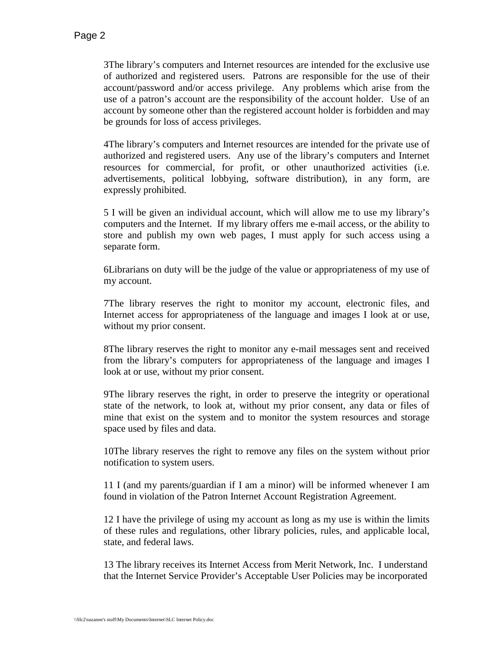3The library's computers and Internet resources are intended for the exclusive use of authorized and registered users. Patrons are responsible for the use of their account/password and/or access privilege. Any problems which arise from the use of a patron's account are the responsibility of the account holder. Use of an account by someone other than the registered account holder is forbidden and may be grounds for loss of access privileges.

4The library's computers and Internet resources are intended for the private use of authorized and registered users. Any use of the library's computers and Internet resources for commercial, for profit, or other unauthorized activities (i.e. advertisements, political lobbying, software distribution), in any form, are expressly prohibited.

5 I will be given an individual account, which will allow me to use my library's computers and the Internet. If my library offers me e-mail access, or the ability to store and publish my own web pages, I must apply for such access using a separate form.

6Librarians on duty will be the judge of the value or appropriateness of my use of my account.

7The library reserves the right to monitor my account, electronic files, and Internet access for appropriateness of the language and images I look at or use, without my prior consent.

8The library reserves the right to monitor any e-mail messages sent and received from the library's computers for appropriateness of the language and images I look at or use, without my prior consent.

9The library reserves the right, in order to preserve the integrity or operational state of the network, to look at, without my prior consent, any data or files of mine that exist on the system and to monitor the system resources and storage space used by files and data.

10The library reserves the right to remove any files on the system without prior notification to system users.

11 I (and my parents/guardian if I am a minor) will be informed whenever I am found in violation of the Patron Internet Account Registration Agreement.

12 I have the privilege of using my account as long as my use is within the limits of these rules and regulations, other library policies, rules, and applicable local, state, and federal laws.

13 The library receives its Internet Access from Merit Network, Inc. I understand that the Internet Service Provider's Acceptable User Policies may be incorporated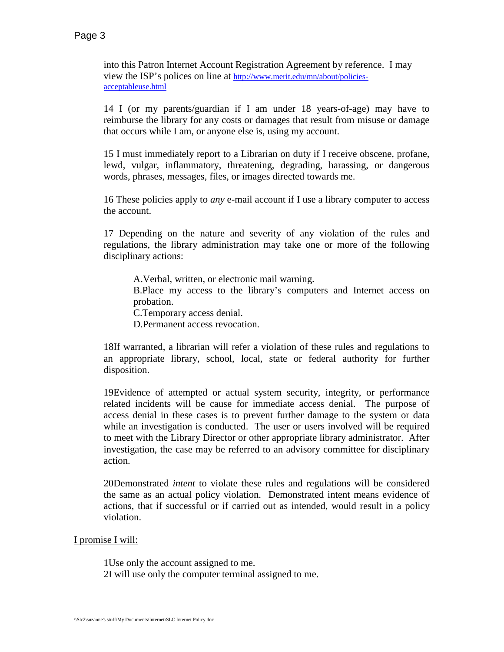into this Patron Internet Account Registration Agreement by reference. I may view the ISP's polices on line at [http://www.merit.edu/mn/about/policies](http://www.merit.edu/mn/about/policies-acceptableuse.html)[acceptableuse.html](http://www.merit.edu/mn/about/policies-acceptableuse.html)

14 I (or my parents/guardian if I am under 18 years-of-age) may have to reimburse the library for any costs or damages that result from misuse or damage that occurs while I am, or anyone else is, using my account.

15 I must immediately report to a Librarian on duty if I receive obscene, profane, lewd, vulgar, inflammatory, threatening, degrading, harassing, or dangerous words, phrases, messages, files, or images directed towards me.

16 These policies apply to *any* e-mail account if I use a library computer to access the account.

17 Depending on the nature and severity of any violation of the rules and regulations, the library administration may take one or more of the following disciplinary actions:

A.Verbal, written, or electronic mail warning. B.Place my access to the library's computers and Internet access on probation. C.Temporary access denial. D.Permanent access revocation.

18If warranted, a librarian will refer a violation of these rules and regulations to an appropriate library, school, local, state or federal authority for further disposition.

19Evidence of attempted or actual system security, integrity, or performance related incidents will be cause for immediate access denial. The purpose of access denial in these cases is to prevent further damage to the system or data while an investigation is conducted. The user or users involved will be required to meet with the Library Director or other appropriate library administrator. After investigation, the case may be referred to an advisory committee for disciplinary action.

20Demonstrated *intent* to violate these rules and regulations will be considered the same as an actual policy violation. Demonstrated intent means evidence of actions, that if successful or if carried out as intended, would result in a policy violation.

I promise I will:

1Use only the account assigned to me. 2I will use only the computer terminal assigned to me.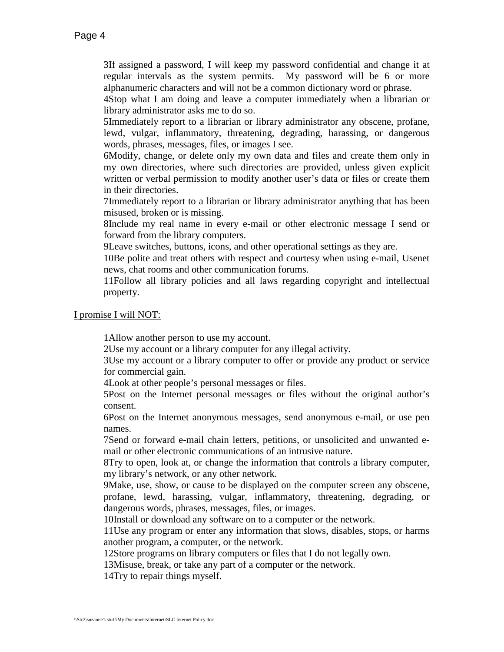3If assigned a password, I will keep my password confidential and change it at regular intervals as the system permits. My password will be 6 or more alphanumeric characters and will not be a common dictionary word or phrase.

4Stop what I am doing and leave a computer immediately when a librarian or library administrator asks me to do so.

5Immediately report to a librarian or library administrator any obscene, profane, lewd, vulgar, inflammatory, threatening, degrading, harassing, or dangerous words, phrases, messages, files, or images I see.

6Modify, change, or delete only my own data and files and create them only in my own directories, where such directories are provided, unless given explicit written or verbal permission to modify another user's data or files or create them in their directories.

7Immediately report to a librarian or library administrator anything that has been misused, broken or is missing.

8Include my real name in every e-mail or other electronic message I send or forward from the library computers.

9Leave switches, buttons, icons, and other operational settings as they are.

10Be polite and treat others with respect and courtesy when using e-mail, Usenet news, chat rooms and other communication forums.

11Follow all library policies and all laws regarding copyright and intellectual property.

I promise I will NOT:

1Allow another person to use my account.

2Use my account or a library computer for any illegal activity.

3Use my account or a library computer to offer or provide any product or service for commercial gain.

4Look at other people's personal messages or files.

5Post on the Internet personal messages or files without the original author's consent.

6Post on the Internet anonymous messages, send anonymous e-mail, or use pen names.

7Send or forward e-mail chain letters, petitions, or unsolicited and unwanted email or other electronic communications of an intrusive nature.

8Try to open, look at, or change the information that controls a library computer, my library's network, or any other network.

9Make, use, show, or cause to be displayed on the computer screen any obscene, profane, lewd, harassing, vulgar, inflammatory, threatening, degrading, or dangerous words, phrases, messages, files, or images.

10Install or download any software on to a computer or the network.

11Use any program or enter any information that slows, disables, stops, or harms another program, a computer, or the network.

12Store programs on library computers or files that I do not legally own.

13Misuse, break, or take any part of a computer or the network.

14Try to repair things myself.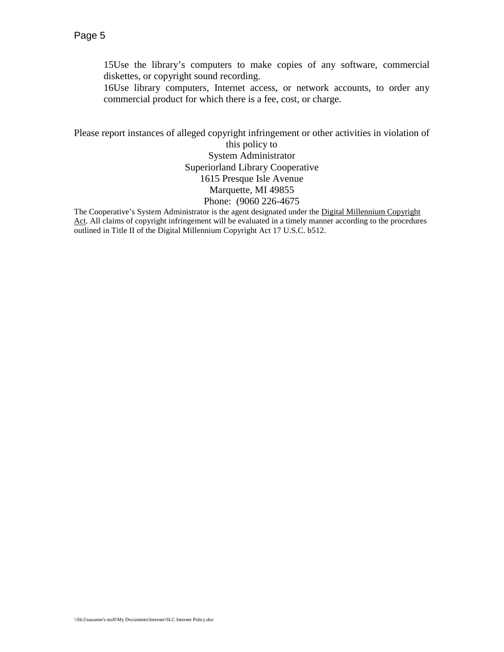15Use the library's computers to make copies of any software, commercial diskettes, or copyright sound recording.

16Use library computers, Internet access, or network accounts, to order any commercial product for which there is a fee, cost, or charge.

Please report instances of alleged copyright infringement or other activities in violation of this policy to System Administrator Superiorland Library Cooperative 1615 Presque Isle Avenue Marquette, MI 49855 Phone: (9060 226-4675

The Cooperative's System Administrator is the agent designated under the Digital Millennium Copyright Act. All claims of copyright infringement will be evaluated in a timely manner according to the procedures outlined in Title II of the Digital Millennium Copyright Act 17 U.S.C. b512.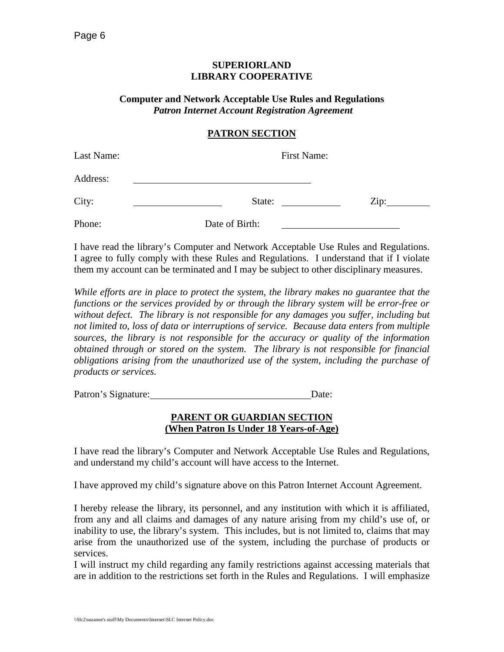#### **SUPERIORLAND LIBRARY COOPERATIVE**

#### **Computer and Network Acceptable Use Rules and Regulations**  *Patron Internet Account Registration Agreement*

## **PATRON SECTION**

| Last Name: | First Name:    |      |
|------------|----------------|------|
| Address:   |                |      |
| City:      | State:         | Zip: |
| Phone:     | Date of Birth: |      |

I have read the library's Computer and Network Acceptable Use Rules and Regulations. I agree to fully comply with these Rules and Regulations. I understand that if I violate them my account can be terminated and I may be subject to other disciplinary measures.

*While efforts are in place to protect the system, the library makes no guarantee that the functions or the services provided by or through the library system will be error-free or without defect. The library is not responsible for any damages you suffer, including but not limited to, loss of data or interruptions of service. Because data enters from multiple sources, the library is not responsible for the accuracy or quality of the information obtained through or stored on the system. The library is not responsible for financial obligations arising from the unauthorized use of the system, including the purchase of products or services.*

Patron's Signature: Date:

### **PARENT OR GUARDIAN SECTION (When Patron Is Under 18 Years-of-Age)**

I have read the library's Computer and Network Acceptable Use Rules and Regulations, and understand my child's account will have access to the Internet.

I have approved my child's signature above on this Patron Internet Account Agreement.

I hereby release the library, its personnel, and any institution with which it is affiliated, from any and all claims and damages of any nature arising from my child's use of, or inability to use, the library's system. This includes, but is not limited to, claims that may arise from the unauthorized use of the system, including the purchase of products or services.

I will instruct my child regarding any family restrictions against accessing materials that are in addition to the restrictions set forth in the Rules and Regulations. I will emphasize